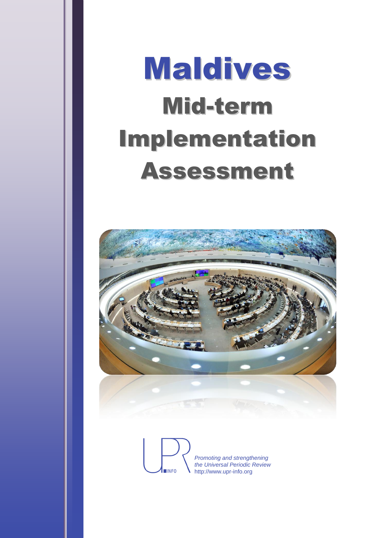# Maldives Mid-term Implementation Assessment



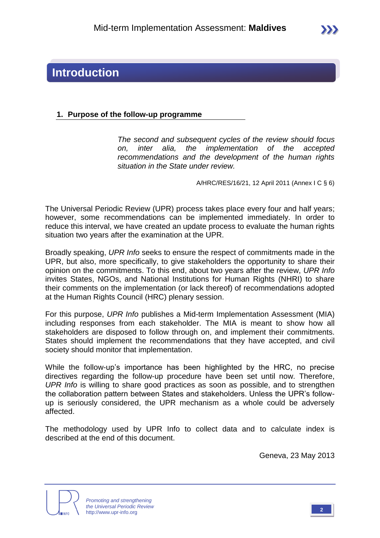### **Introduction**

#### **1. Purpose of the follow-up programme**

*The second and subsequent cycles of the review should focus on, inter alia, the implementation of the accepted recommendations and the development of the human rights situation in the State under review.*

A/HRC/RES/16/21, 12 April 2011 (Annex I C § 6)

The Universal Periodic Review (UPR) process takes place every four and half years; however, some recommendations can be implemented immediately. In order to reduce this interval, we have created an update process to evaluate the human rights situation two years after the examination at the UPR.

Broadly speaking, *UPR Info* seeks to ensure the respect of commitments made in the UPR, but also, more specifically, to give stakeholders the opportunity to share their opinion on the commitments. To this end, about two years after the review, *UPR Info* invites States, NGOs, and National Institutions for Human Rights (NHRI) to share their comments on the implementation (or lack thereof) of recommendations adopted at the Human Rights Council (HRC) plenary session.

For this purpose, *UPR Info* publishes a Mid-term Implementation Assessment (MIA) including responses from each stakeholder. The MIA is meant to show how all stakeholders are disposed to follow through on, and implement their commitments. States should implement the recommendations that they have accepted, and civil society should monitor that implementation.

While the follow-up's importance has been highlighted by the HRC, no precise directives regarding the follow-up procedure have been set until now. Therefore, *UPR Info* is willing to share good practices as soon as possible, and to strengthen the collaboration pattern between States and stakeholders. Unless the UPR's followup is seriously considered, the UPR mechanism as a whole could be adversely affected.

The methodology used by UPR Info to collect data and to calculate index is described at the end of this document.

Geneva, 23 May 2013



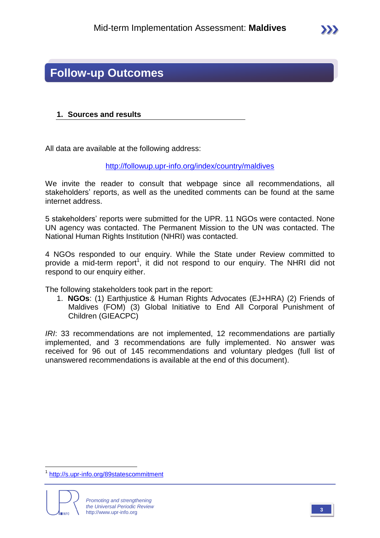### **Follow-up Outcomes**

#### **1. Sources and results**

All data are available at the following address:

<http://followup.upr-info.org/index/country/maldives>

We invite the reader to consult that webpage since all recommendations, all stakeholders' reports, as well as the unedited comments can be found at the same internet address.

5 stakeholders' reports were submitted for the UPR. 11 NGOs were contacted. None UN agency was contacted. The Permanent Mission to the UN was contacted. The National Human Rights Institution (NHRI) was contacted.

4 NGOs responded to our enquiry. While the State under Review committed to provide a mid-term report<sup>1</sup>, it did not respond to our enquiry. The NHRI did not respond to our enquiry either.

The following stakeholders took part in the report:

1. **NGOs**: (1) Earthjustice & Human Rights Advocates (EJ+HRA) (2) Friends of Maldives (FOM) (3) Global Initiative to End All Corporal Punishment of Children (GIEACPC)

*IRI*: 33 recommendations are not implemented, 12 recommendations are partially implemented, and 3 recommendations are fully implemented. No answer was received for 96 out of 145 recommendations and voluntary pledges (full list of unanswered recommendations is available at the end of this document).

 $\overline{a}$ 1 <http://s.upr-info.org/89statescommitment>

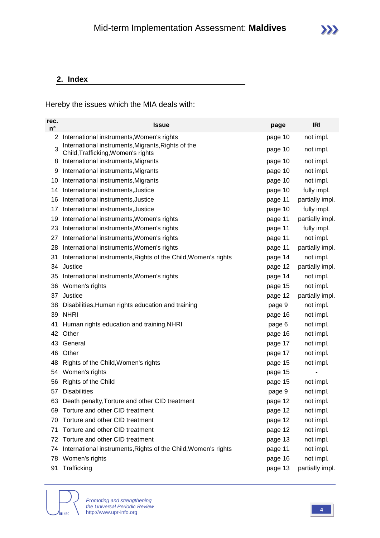#### **2. Index**

Hereby the issues which the MIA deals with:

| rec.<br>$n^{\circ}$ | <b>Issue</b>                                                                             | page    | <b>IRI</b>      |
|---------------------|------------------------------------------------------------------------------------------|---------|-----------------|
| 2                   | International instruments, Women's rights                                                | page 10 | not impl.       |
| 3                   | International instruments, Migrants, Rights of the<br>Child, Trafficking, Women's rights | page 10 | not impl.       |
| 8                   | International instruments, Migrants                                                      | page 10 | not impl.       |
| 9                   | International instruments, Migrants                                                      | page 10 | not impl.       |
| 10                  | International instruments, Migrants                                                      | page 10 | not impl.       |
| 14                  | International instruments, Justice                                                       | page 10 | fully impl.     |
| 16                  | International instruments, Justice                                                       | page 11 | partially impl. |
| 17                  | International instruments, Justice                                                       | page 10 | fully impl.     |
| 19                  | International instruments, Women's rights                                                | page 11 | partially impl. |
| 23                  | International instruments, Women's rights                                                | page 11 | fully impl.     |
| 27                  | International instruments, Women's rights                                                | page 11 | not impl.       |
| 28                  | International instruments, Women's rights                                                | page 11 | partially impl. |
| 31                  | International instruments, Rights of the Child, Women's rights                           | page 14 | not impl.       |
| 34                  | Justice                                                                                  | page 12 | partially impl. |
| 35                  | International instruments, Women's rights                                                | page 14 | not impl.       |
| 36                  | Women's rights                                                                           | page 15 | not impl.       |
| 37                  | Justice                                                                                  | page 12 | partially impl. |
| 38                  | Disabilities, Human rights education and training                                        | page 9  | not impl.       |
|                     | 39 NHRI                                                                                  | page 16 | not impl.       |
| 41                  | Human rights education and training, NHRI                                                | page 6  | not impl.       |
| 42                  | Other                                                                                    | page 16 | not impl.       |
| 43                  | General                                                                                  | page 17 | not impl.       |
| 46                  | Other                                                                                    | page 17 | not impl.       |
| 48                  | Rights of the Child, Women's rights                                                      | page 15 | not impl.       |
| 54                  | Women's rights                                                                           | page 15 |                 |
| 56                  | Rights of the Child                                                                      | page 15 | not impl.       |
| 57                  | <b>Disabilities</b>                                                                      | page 9  | not impl.       |
|                     | 63 Death penalty, Torture and other CID treatment                                        | page 12 | not impl.       |
| 69                  | Torture and other CID treatment                                                          | page 12 | not impl.       |
| 70                  | Torture and other CID treatment                                                          | page 12 | not impl.       |
| 71                  | Torture and other CID treatment                                                          | page 12 | not impl.       |
| 72                  | Torture and other CID treatment                                                          | page 13 | not impl.       |
| 74                  | International instruments, Rights of the Child, Women's rights                           | page 11 | not impl.       |
| 78                  | Women's rights                                                                           | page 16 | not impl.       |
| 91                  | Trafficking                                                                              | page 13 | partially impl. |

**IINFO** 

*Promoting and strengthening the Universal Periodic Review* http://www.upr-info.org **<sup>4</sup>**

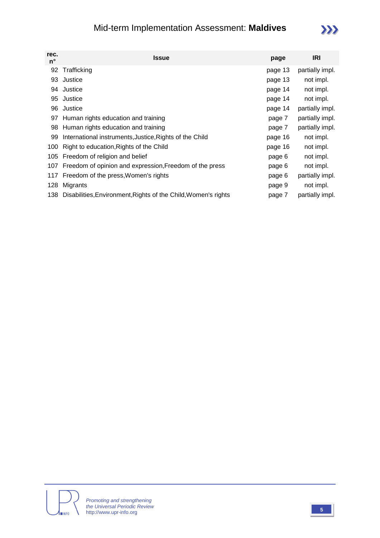### Mid-term Implementation Assessment: **Maldives**

## $\sum$

| rec.<br>n° | Issue                                                          | page    | <b>IRI</b>      |
|------------|----------------------------------------------------------------|---------|-----------------|
| 92         | Trafficking                                                    | page 13 | partially impl. |
| 93         | Justice                                                        | page 13 | not impl.       |
| 94         | Justice                                                        | page 14 | not impl.       |
| 95         | Justice                                                        | page 14 | not impl.       |
| 96         | Justice                                                        | page 14 | partially impl. |
| 97         | Human rights education and training                            | page 7  | partially impl. |
| 98         | Human rights education and training                            | page 7  | partially impl. |
| 99         | International instruments, Justice, Rights of the Child        | page 16 | not impl.       |
| 100        | Right to education, Rights of the Child                        | page 16 | not impl.       |
|            | 105 Freedom of religion and belief                             | page 6  | not impl.       |
| 107        | Freedom of opinion and expression, Freedom of the press        | page 6  | not impl.       |
| 117        | Freedom of the press, Women's rights                           | page 6  | partially impl. |
| 128        | Migrants                                                       | page 9  | not impl.       |
| 138        | Disabilities, Environment, Rights of the Child, Women's rights | page 7  | partially impl. |

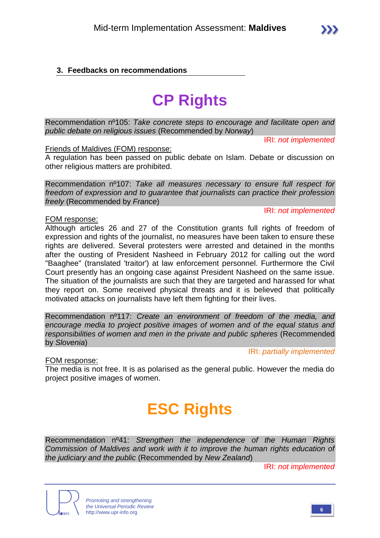#### **3. Feedbacks on recommendations**

# **CP Rights**

Recommendation nº105: *Take concrete steps to encourage and facilitate open and public debate on religious issues* (Recommended by *Norway*)

IRI: *not implemented*

Friends of Maldives (FOM) response:

A regulation has been passed on public debate on Islam. Debate or discussion on other religious matters are prohibited.

Recommendation nº107: *Take all measures necessary to ensure full respect for freedom of expression and to guarantee that journalists can practice their profession freely* (Recommended by *France*)

IRI: *not implemented*

#### FOM response:

Although articles 26 and 27 of the Constitution grants full rights of freedom of expression and rights of the journalist, no measures have been taken to ensure these rights are delivered. Several protesters were arrested and detained in the months after the ousting of President Nasheed in February 2012 for calling out the word "Baaghee" (translated 'traitor') at law enforcement personnel. Furthermore the Civil Court presently has an ongoing case against President Nasheed on the same issue. The situation of the journalists are such that they are targeted and harassed for what they report on. Some received physical threats and it is believed that politically motivated attacks on journalists have left them fighting for their lives.

Recommendation nº117: *Create an environment of freedom of the media, and encourage media to project positive images of women and of the equal status and responsibilities of women and men in the private and public spheres* (Recommended by *Slovenia*)

IRI: *partially implemented*

FOM response:

The media is not free. It is as polarised as the general public. However the media do project positive images of women.

# **ESC Rights**

Recommendation nº41: *Strengthen the independence of the Human Rights Commission of Maldives and work with it to improve the human rights education of the judiciary and the public* (Recommended by *New Zealand*)

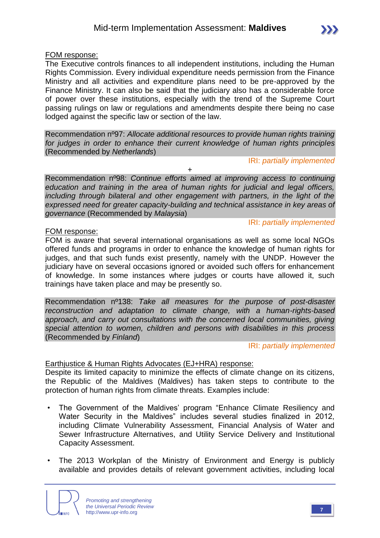FOM response:

The Executive controls finances to all independent institutions, including the Human Rights Commission. Every individual expenditure needs permission from the Finance Ministry and all activities and expenditure plans need to be pre-approved by the Finance Ministry. It can also be said that the judiciary also has a considerable force of power over these institutions, especially with the trend of the Supreme Court passing rulings on law or regulations and amendments despite there being no case lodged against the specific law or section of the law.

Recommendation nº97: *Allocate additional resources to provide human rights training for judges in order to enhance their current knowledge of human rights principles*  (Recommended by *Netherlands*)

#### IRI: *partially implemented*

IRI: *partially implemented*

Recommendation nº98: *Continue efforts aimed at improving access to continuing education and training in the area of human rights for judicial and legal officers, including through bilateral and other engagement with partners, in the light of the expressed need for greater capacity-building and technical assistance in key areas of governance* (Recommended by *Malaysia*)

+

#### FOM response:

FOM is aware that several international organisations as well as some local NGOs offered funds and programs in order to enhance the knowledge of human rights for judges, and that such funds exist presently, namely with the UNDP. However the judiciary have on several occasions ignored or avoided such offers for enhancement of knowledge. In some instances where judges or courts have allowed it, such trainings have taken place and may be presently so.

Recommendation nº138: *Take all measures for the purpose of post-disaster reconstruction and adaptation to climate change, with a human-rights-based approach, and carry out consultations with the concerned local communities, giving special attention to women, children and persons with disabilities in this process*  (Recommended by *Finland*)

IRI: *partially implemented*

#### Earthjustice & Human Rights Advocates (EJ+HRA) response:

Despite its limited capacity to minimize the effects of climate change on its citizens, the Republic of the Maldives (Maldives) has taken steps to contribute to the protection of human rights from climate threats. Examples include:

- The Government of the Maldives' program "Enhance Climate Resiliency and Water Security in the Maldives" includes several studies finalized in 2012, including Climate Vulnerability Assessment, Financial Analysis of Water and Sewer Infrastructure Alternatives, and Utility Service Delivery and Institutional Capacity Assessment.
- The 2013 Workplan of the Ministry of Environment and Energy is publicly available and provides details of relevant government activities, including local



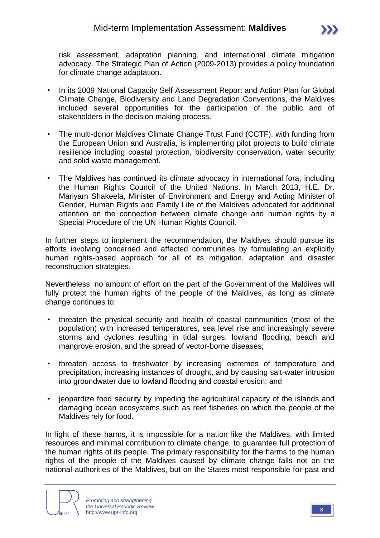

- In its 2009 National Capacity Self Assessment Report and Action Plan for Global Climate Change, Biodiversity and Land Degradation Conventions, the Maldives included several opportunities for the participation of the public and of stakeholders in the decision making process.
- The multi-donor Maldives Climate Change Trust Fund (CCTF), with funding from the European Union and Australia, is implementing pilot projects to build climate resilience including coastal protection, biodiversity conservation, water security and solid waste management.
- The Maldives has continued its climate advocacy in international fora, including the Human Rights Council of the United Nations. In March 2013, H.E. Dr. Mariyam Shakeela, Minister of Environment and Energy and Acting Minister of Gender, Human Rights and Family Life of the Maldives advocated for additional attention on the connection between climate change and human rights by a Special Procedure of the UN Human Rights Council.

In further steps to implement the recommendation, the Maldives should pursue its efforts involving concerned and affected communities by formulating an explicitly human rights-based approach for all of its mitigation, adaptation and disaster reconstruction strategies.

Nevertheless, no amount of effort on the part of the Government of the Maldives will fully protect the human rights of the people of the Maldives, as long as climate change continues to:

- threaten the physical security and health of coastal communities (most of the population) with increased temperatures, sea level rise and increasingly severe storms and cyclones resulting in tidal surges, lowland flooding, beach and mangrove erosion, and the spread of vector-borne diseases;
- threaten access to freshwater by increasing extremes of temperature and precipitation, increasing instances of drought, and by causing salt-water intrusion into groundwater due to lowland flooding and coastal erosion; and
- jeopardize food security by impeding the agricultural capacity of the islands and damaging ocean ecosystems such as reef fisheries on which the people of the Maldives rely for food.

In light of these harms, it is impossible for a nation like the Maldives, with limited resources and minimal contribution to climate change, to guarantee full protection of the human rights of its people. The primary responsibility for the harms to the human rights of the people of the Maldives caused by climate change falls not on the national authorities of the Maldives, but on the States most responsible for past and

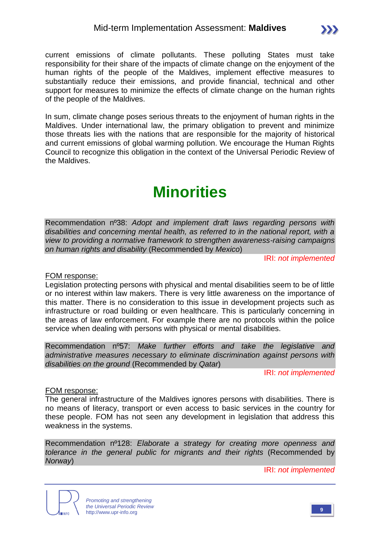In sum, climate change poses serious threats to the enjoyment of human rights in the Maldives. Under international law, the primary obligation to prevent and minimize those threats lies with the nations that are responsible for the majority of historical and current emissions of global warming pollution. We encourage the Human Rights Council to recognize this obligation in the context of the Universal Periodic Review of the Maldives.

support for measures to minimize the effects of climate change on the human rights

# **Minorities**

Recommendation nº38: *Adopt and implement draft laws regarding persons with disabilities and concerning mental health, as referred to in the national report, with a view to providing a normative framework to strengthen awareness-raising campaigns on human rights and disability* (Recommended by *Mexico*)

IRI: *not implemented*

#### FOM response:

of the people of the Maldives.

Legislation protecting persons with physical and mental disabilities seem to be of little or no interest within law makers. There is very little awareness on the importance of this matter. There is no consideration to this issue in development projects such as infrastructure or road building or even healthcare. This is particularly concerning in the areas of law enforcement. For example there are no protocols within the police service when dealing with persons with physical or mental disabilities.

Recommendation nº57: *Make further efforts and take the legislative and administrative measures necessary to eliminate discrimination against persons with disabilities on the ground* (Recommended by *Qatar*)

IRI: *not implemented*

#### FOM response:

The general infrastructure of the Maldives ignores persons with disabilities. There is no means of literacy, transport or even access to basic services in the country for these people. FOM has not seen any development in legislation that address this weakness in the systems.

Recommendation nº128: *Elaborate a strategy for creating more openness and tolerance in the general public for migrants and their rights* (Recommended by *Norway*)



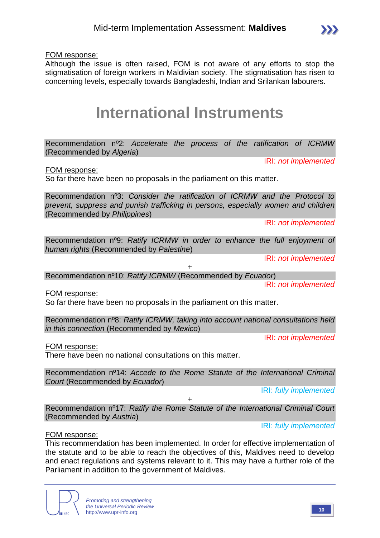FOM response:

Although the issue is often raised, FOM is not aware of any efforts to stop the stigmatisation of foreign workers in Maldivian society. The stigmatisation has risen to concerning levels, especially towards Bangladeshi, Indian and Srilankan labourers.

# **International Instruments**

Recommendation nº2: *Accelerate the process of the ratification of ICRMW* (Recommended by *Algeria*)

IRI: *not implemented*

FOM response:

So far there have been no proposals in the parliament on this matter.

Recommendation nº3: *Consider the ratification of ICRMW and the Protocol to prevent, suppress and punish trafficking in persons, especially women and children*  (Recommended by *Philippines*)

IRI: *not implemented*

Recommendation nº9: *Ratify ICRMW in order to enhance the full enjoyment of human rights* (Recommended by *Palestine*)

IRI: *not implemented*

IRI: *not implemented*

+ Recommendation nº10: *Ratify ICRMW* (Recommended by *Ecuador*)

FOM response:

So far there have been no proposals in the parliament on this matter.

Recommendation nº8: *Ratify ICRMW, taking into account national consultations held in this connection* (Recommended by *Mexico*)

IRI: *not implemented*

FOM response:

There have been no national consultations on this matter.

Recommendation nº14: *Accede to the Rome Statute of the International Criminal Court* (Recommended by *Ecuador*)

IRI: *fully implemented*

Recommendation nº17: *Ratify the Rome Statute of the International Criminal Court* (Recommended by *Austria*)

+

IRI: *fully implemented*

#### FOM response:

This recommendation has been implemented. In order for effective implementation of the statute and to be able to reach the objectives of this, Maldives need to develop and enact regulations and systems relevant to it. This may have a further role of the Parliament in addition to the government of Maldives.



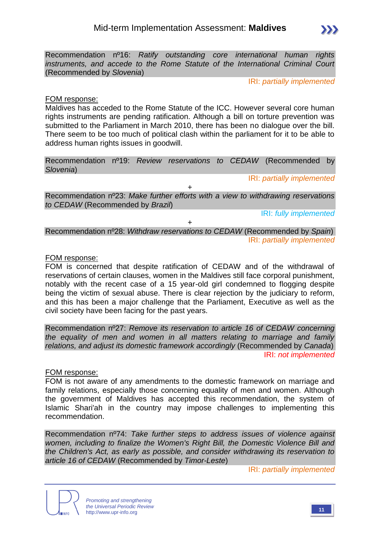

Recommendation nº16: *Ratify outstanding core international human rights instruments, and accede to the Rome Statute of the International Criminal Court*  (Recommended by *Slovenia*)

IRI: *partially implemented*

#### FOM response:

Maldives has acceded to the Rome Statute of the ICC. However several core human rights instruments are pending ratification. Although a bill on torture prevention was submitted to the Parliament in March 2010, there has been no dialogue over the bill. There seem to be too much of political clash within the parliament for it to be able to address human rights issues in goodwill.

Recommendation nº19: *Review reservations to CEDAW* (Recommended by *Slovenia*)

IRI: *partially implemented*

Recommendation nº23: *Make further efforts with a view to withdrawing reservations to CEDAW* (Recommended by *Brazil*)

 $\overline{+}$ 

IRI: *fully implemented*

Recommendation nº28: *Withdraw reservations to CEDAW* (Recommended by *Spain*) IRI: *partially implemented*

 $\ddot{\phantom{1}}$ 

#### FOM response:

FOM is concerned that despite ratification of CEDAW and of the withdrawal of reservations of certain clauses, women in the Maldives still face corporal punishment, notably with the recent case of a 15 year-old girl condemned to flogging despite being the victim of sexual abuse. There is clear rejection by the judiciary to reform, and this has been a major challenge that the Parliament, Executive as well as the civil society have been facing for the past years.

Recommendation nº27: *Remove its reservation to article 16 of CEDAW concerning the equality of men and women in all matters relating to marriage and family relations, and adjust its domestic framework accordingly* (Recommended by *Canada*) IRI: *not implemented*

#### FOM response:

FOM is not aware of any amendments to the domestic framework on marriage and family relations, especially those concerning equality of men and women. Although the government of Maldives has accepted this recommendation, the system of Islamic Shari'ah in the country may impose challenges to implementing this recommendation.

Recommendation nº74: *Take further steps to address issues of violence against women, including to finalize the Women's Right Bill, the Domestic Violence Bill and the Children's Act, as early as possible, and consider withdrawing its reservation to article 16 of CEDAW* (Recommended by *Timor-Leste*)

IRI: *partially implemented*



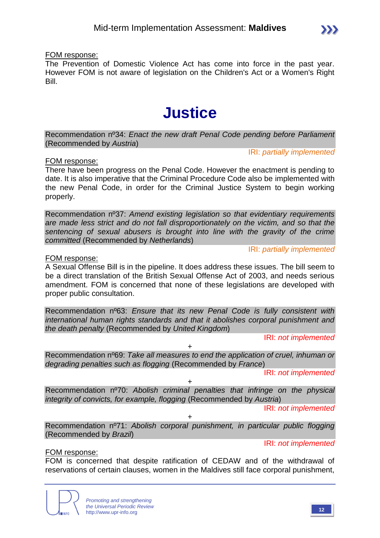The Prevention of Domestic Violence Act has come into force in the past year. However FOM is not aware of legislation on the Children's Act or a Women's Right Bill.

# **Justice**

Recommendation nº34: *Enact the new draft Penal Code pending before Parliament*  (Recommended by *Austria*)

IRI: *partially implemented*

#### FOM response:

There have been progress on the Penal Code. However the enactment is pending to date. It is also imperative that the Criminal Procedure Code also be implemented with the new Penal Code, in order for the Criminal Justice System to begin working properly.

Recommendation nº37: *Amend existing legislation so that evidentiary requirements are made less strict and do not fall disproportionately on the victim, and so that the sentencing of sexual abusers is brought into line with the gravity of the crime committed* (Recommended by *Netherlands*)

IRI: *partially implemented*

#### FOM response:

A Sexual Offense Bill is in the pipeline. It does address these issues. The bill seem to be a direct translation of the British Sexual Offense Act of 2003, and needs serious amendment. FOM is concerned that none of these legislations are developed with proper public consultation.

Recommendation nº63: *Ensure that its new Penal Code is fully consistent with international human rights standards and that it abolishes corporal punishment and the death penalty* (Recommended by *United Kingdom*)

IRI: *not implemented*

Recommendation nº69: *Take all measures to end the application of cruel, inhuman or degrading penalties such as flogging* (Recommended by *France*)

+

IRI: *not implemented*

Recommendation nº70: *Abolish criminal penalties that infringe on the physical integrity of convicts, for example, flogging* (Recommended by *Austria*)

 $+$ 

IRI: *not implemented*

+ Recommendation nº71: *Abolish corporal punishment, in particular public flogging* (Recommended by *Brazil*)

IRI: *not implemented*

#### FOM response:

FOM is concerned that despite ratification of CEDAW and of the withdrawal of reservations of certain clauses, women in the Maldives still face corporal punishment,

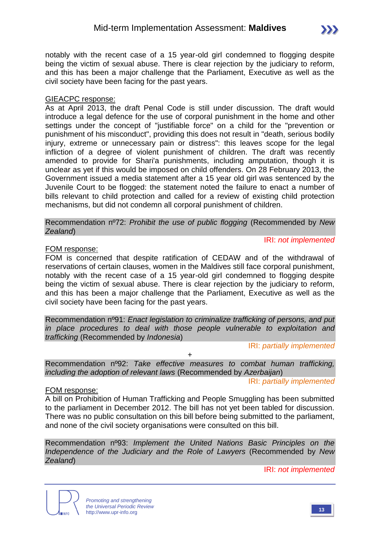notably with the recent case of a 15 year-old girl condemned to flogging despite being the victim of sexual abuse. There is clear rejection by the judiciary to reform, and this has been a major challenge that the Parliament, Executive as well as the civil society have been facing for the past years.

#### GIEACPC response:

As at April 2013, the draft Penal Code is still under discussion. The draft would introduce a legal defence for the use of corporal punishment in the home and other settings under the concept of "justifiable force" on a child for the "prevention or punishment of his misconduct", providing this does not result in "death, serious bodily injury, extreme or unnecessary pain or distress": this leaves scope for the legal infliction of a degree of violent punishment of children. The draft was recently amended to provide for Shari'a punishments, including amputation, though it is unclear as yet if this would be imposed on child offenders. On 28 February 2013, the Government issued a media statement after a 15 year old girl was sentenced by the Juvenile Court to be flogged: the statement noted the failure to enact a number of bills relevant to child protection and called for a review of existing child protection mechanisms, but did not condemn all corporal punishment of children.

Recommendation nº72: *Prohibit the use of public flogging* (Recommended by *New Zealand*)

#### IRI: *not implemented*

#### FOM response:

FOM is concerned that despite ratification of CEDAW and of the withdrawal of reservations of certain clauses, women in the Maldives still face corporal punishment, notably with the recent case of a 15 year-old girl condemned to flogging despite being the victim of sexual abuse. There is clear rejection by the judiciary to reform, and this has been a major challenge that the Parliament, Executive as well as the civil society have been facing for the past years.

Recommendation nº91: *Enact legislation to criminalize trafficking of persons, and put in place procedures to deal with those people vulnerable to exploitation and trafficking* (Recommended by *Indonesia*)

IRI: *partially implemented*

Recommendation nº92: *Take effective measures to combat human trafficking, including the adoption of relevant laws* (Recommended by *Azerbaijan*)

+

IRI: *partially implemented*

#### FOM response:

A bill on Prohibition of Human Trafficking and People Smuggling has been submitted to the parliament in December 2012. The bill has not yet been tabled for discussion. There was no public consultation on this bill before being submitted to the parliament, and none of the civil society organisations were consulted on this bill.

Recommendation nº93: *Implement the United Nations Basic Principles on the Independence of the Judiciary and the Role of Lawyers* (Recommended by *New Zealand*)

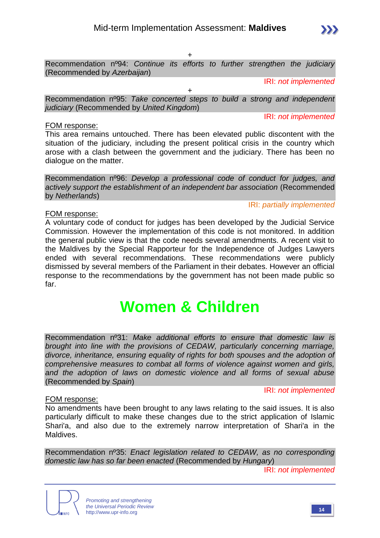$\pm$ 

Recommendation nº94: *Continue its efforts to further strengthen the judiciary*  (Recommended by *Azerbaijan*)

IRI: *not implemented*

+ Recommendation nº95: *Take concerted steps to build a strong and independent judiciary* (Recommended by *United Kingdom*)

IRI: *not implemented*

#### FOM response:

This area remains untouched. There has been elevated public discontent with the situation of the judiciary, including the present political crisis in the country which arose with a clash between the government and the judiciary. There has been no dialogue on the matter.

Recommendation nº96: *Develop a professional code of conduct for judges, and actively support the establishment of an independent bar association* (Recommended by *Netherlands*)

IRI: *partially implemented*

#### FOM response:

A voluntary code of conduct for judges has been developed by the Judicial Service Commission. However the implementation of this code is not monitored. In addition the general public view is that the code needs several amendments. A recent visit to the Maldives by the Special Rapporteur for the Independence of Judges Lawyers ended with several recommendations. These recommendations were publicly dismissed by several members of the Parliament in their debates. However an official response to the recommendations by the government has not been made public so far.

# **Women & Children**

Recommendation nº31: *Make additional efforts to ensure that domestic law is brought into line with the provisions of CEDAW, particularly concerning marriage, divorce, inheritance, ensuring equality of rights for both spouses and the adoption of comprehensive measures to combat all forms of violence against women and girls, and the adoption of laws on domestic violence and all forms of sexual abuse*  (Recommended by *Spain*)

#### FOM response:

IRI: *not implemented*

No amendments have been brought to any laws relating to the said issues. It is also particularly difficult to make these changes due to the strict application of Islamic Shari'a, and also due to the extremely narrow interpretation of Shari'a in the Maldives.

Recommendation nº35: *Enact legislation related to CEDAW, as no corresponding domestic law has so far been enacted* (Recommended by *Hungary*)



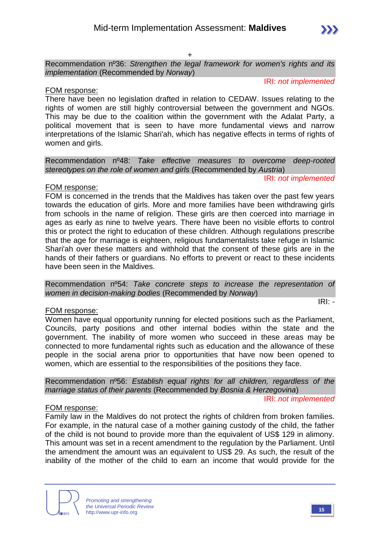+

Recommendation nº36: *Strengthen the legal framework for women's rights and its implementation* (Recommended by *Norway*)

IRI: *not implemented*

IRI: *not implemented*

#### FOM response:

There have been no legislation drafted in relation to CEDAW. Issues relating to the rights of women are still highly controversial between the government and NGOs. This may be due to the coalition within the government with the Adalat Party, a political movement that is seen to have more fundamental views and narrow interpretations of the Islamic Shari'ah, which has negative effects in terms of rights of women and girls.

Recommendation nº48: *Take effective measures to overcome deep-rooted stereotypes on the role of women and girls* (Recommended by *Austria*)

#### FOM response:

FOM is concerned in the trends that the Maldives has taken over the past few years towards the education of girls. More and more families have been withdrawing girls from schools in the name of religion. These girls are then coerced into marriage in ages as early as nine to twelve years. There have been no visible efforts to control this or protect the right to education of these children. Although regulations prescribe that the age for marriage is eighteen, religious fundamentalists take refuge in Islamic Shari'ah over these matters and withhold that the consent of these girls are in the hands of their fathers or guardians. No efforts to prevent or react to these incidents have been seen in the Maldives.

#### FOM response:

Women have equal opportunity running for elected positions such as the Parliament, Councils, party positions and other internal bodies within the state and the government. The inability of more women who succeed in these areas may be connected to more fundamental rights such as education and the allowance of these people in the social arena prior to opportunities that have now been opened to women, which are essential to the responsibilities of the positions they face.

Recommendation nº56: *Establish equal rights for all children, regardless of the marriage status of their parents* (Recommended by *Bosnia & Herzegovina*) IRI: *not implemented*

#### FOM response:

Family law in the Maldives do not protect the rights of children from broken families. For example, in the natural case of a mother gaining custody of the child, the father of the child is not bound to provide more than the equivalent of US\$ 129 in alimony. This amount was set in a recent amendment to the regulation by the Parliament. Until the amendment the amount was an equivalent to US\$ 29. As such, the result of the inability of the mother of the child to earn an income that would provide for the



IRI: *-*

Recommendation nº54: *Take concrete steps to increase the representation of women in decision-making bodies* (Recommended by *Norway*)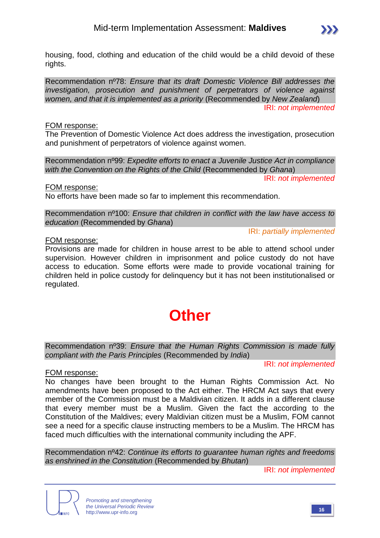

housing, food, clothing and education of the child would be a child devoid of these rights.

Recommendation nº78: *Ensure that its draft Domestic Violence Bill addresses the investigation, prosecution and punishment of perpetrators of violence against women, and that it is implemented as a priority* (Recommended by *New Zealand*) IRI: *not implemented*

#### FOM response:

The Prevention of Domestic Violence Act does address the investigation, prosecution and punishment of perpetrators of violence against women.

Recommendation nº99: *Expedite efforts to enact a Juvenile Justice Act in compliance with the Convention on the Rights of the Child* (Recommended by *Ghana*)

IRI: *not implemented*

FOM response:

No efforts have been made so far to implement this recommendation.

Recommendation nº100: *Ensure that children in conflict with the law have access to education* (Recommended by *Ghana*)

IRI: *partially implemented*

#### FOM response:

Provisions are made for children in house arrest to be able to attend school under supervision. However children in imprisonment and police custody do not have access to education. Some efforts were made to provide vocational training for children held in police custody for delinquency but it has not been institutionalised or regulated.

# **Other**

Recommendation nº39: *Ensure that the Human Rights Commission is made fully compliant with the Paris Principles* (Recommended by *India*)

IRI: *not implemented*

#### FOM response:

No changes have been brought to the Human Rights Commission Act. No amendments have been proposed to the Act either. The HRCM Act says that every member of the Commission must be a Maldivian citizen. It adds in a different clause that every member must be a Muslim. Given the fact the according to the Constitution of the Maldives; every Maldivian citizen must be a Muslim, FOM cannot see a need for a specific clause instructing members to be a Muslim. The HRCM has faced much difficulties with the international community including the APF.

Recommendation nº42: *Continue its efforts to guarantee human rights and freedoms as enshrined in the Constitution* (Recommended by *Bhutan*)



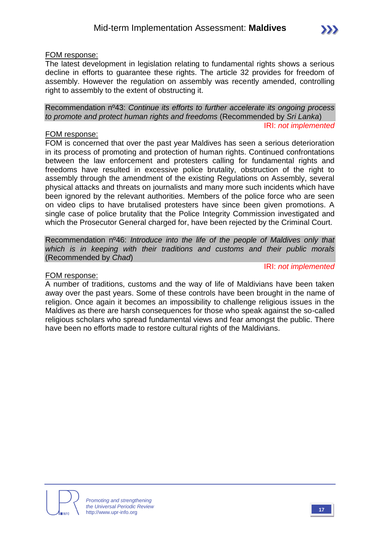#### FOM response:

The latest development in legislation relating to fundamental rights shows a serious decline in efforts to guarantee these rights. The article 32 provides for freedom of assembly. However the regulation on assembly was recently amended, controlling right to assembly to the extent of obstructing it.

Recommendation nº43: *Continue its efforts to further accelerate its ongoing process to promote and protect human rights and freedoms* (Recommended by *Sri Lanka*) IRI: *not implemented*

#### FOM response:

FOM is concerned that over the past year Maldives has seen a serious deterioration in its process of promoting and protection of human rights. Continued confrontations between the law enforcement and protesters calling for fundamental rights and freedoms have resulted in excessive police brutality, obstruction of the right to assembly through the amendment of the existing Regulations on Assembly, several physical attacks and threats on journalists and many more such incidents which have been ignored by the relevant authorities. Members of the police force who are seen on video clips to have brutalised protesters have since been given promotions. A single case of police brutality that the Police Integrity Commission investigated and which the Prosecutor General charged for, have been rejected by the Criminal Court.

Recommendation nº46: *Introduce into the life of the people of Maldives only that which is in keeping with their traditions and customs and their public morals*  (Recommended by *Chad*)

#### IRI: *not implemented*

#### FOM response:

A number of traditions, customs and the way of life of Maldivians have been taken away over the past years. Some of these controls have been brought in the name of religion. Once again it becomes an impossibility to challenge religious issues in the Maldives as there are harsh consequences for those who speak against the so-called religious scholars who spread fundamental views and fear amongst the public. There have been no efforts made to restore cultural rights of the Maldivians.

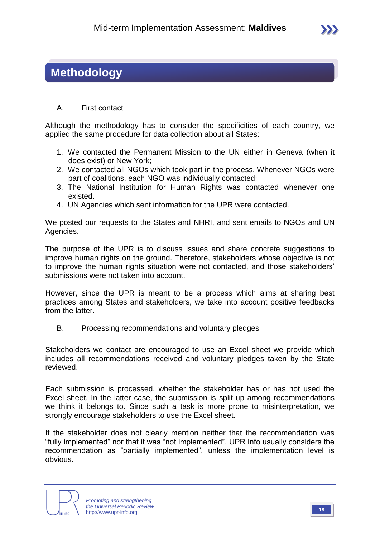### **Methodology**

#### A. First contact

Although the methodology has to consider the specificities of each country, we applied the same procedure for data collection about all States:

- 1. We contacted the Permanent Mission to the UN either in Geneva (when it does exist) or New York;
- 2. We contacted all NGOs which took part in the process. Whenever NGOs were part of coalitions, each NGO was individually contacted;
- 3. The National Institution for Human Rights was contacted whenever one existed.
- 4. UN Agencies which sent information for the UPR were contacted.

We posted our requests to the States and NHRI, and sent emails to NGOs and UN Agencies.

The purpose of the UPR is to discuss issues and share concrete suggestions to improve human rights on the ground. Therefore, stakeholders whose objective is not to improve the human rights situation were not contacted, and those stakeholders' submissions were not taken into account.

However, since the UPR is meant to be a process which aims at sharing best practices among States and stakeholders, we take into account positive feedbacks from the latter.

B. Processing recommendations and voluntary pledges

Stakeholders we contact are encouraged to use an Excel sheet we provide which includes all recommendations received and voluntary pledges taken by the State reviewed.

Each submission is processed, whether the stakeholder has or has not used the Excel sheet. In the latter case, the submission is split up among recommendations we think it belongs to. Since such a task is more prone to misinterpretation, we strongly encourage stakeholders to use the Excel sheet.

If the stakeholder does not clearly mention neither that the recommendation was "fully implemented" nor that it was "not implemented", UPR Info usually considers the recommendation as "partially implemented", unless the implementation level is obvious.



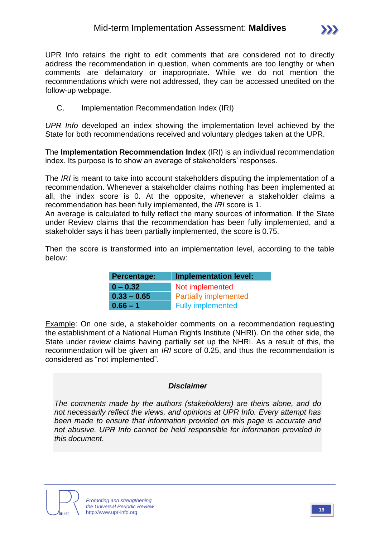UPR Info retains the right to edit comments that are considered not to directly address the recommendation in question, when comments are too lengthy or when comments are defamatory or inappropriate. While we do not mention the recommendations which were not addressed, they can be accessed unedited on the follow-up webpage.

C. Implementation Recommendation Index (IRI)

*UPR Info* developed an index showing the implementation level achieved by the State for both recommendations received and voluntary pledges taken at the UPR.

The **Implementation Recommendation Index** (IRI) is an individual recommendation index. Its purpose is to show an average of stakeholders' responses.

The *IRI* is meant to take into account stakeholders disputing the implementation of a recommendation. Whenever a stakeholder claims nothing has been implemented at all, the index score is 0. At the opposite, whenever a stakeholder claims a recommendation has been fully implemented, the *IRI* score is 1.

An average is calculated to fully reflect the many sources of information. If the State under Review claims that the recommendation has been fully implemented, and a stakeholder says it has been partially implemented, the score is 0.75.

Then the score is transformed into an implementation level, according to the table below:

| <b>Percentage:</b> | <b>Implementation level:</b> |  |  |  |  |
|--------------------|------------------------------|--|--|--|--|
| $0 - 0.32$         | Not implemented              |  |  |  |  |
| $0.33 - 0.65$      | <b>Partially implemented</b> |  |  |  |  |
| $0.66 - 1$         | <b>Fully implemented</b>     |  |  |  |  |

Example: On one side, a stakeholder comments on a recommendation requesting the establishment of a National Human Rights Institute (NHRI). On the other side, the State under review claims having partially set up the NHRI. As a result of this, the recommendation will be given an *IRI* score of 0.25, and thus the recommendation is considered as "not implemented".

#### *Disclaimer*

*The comments made by the authors (stakeholders) are theirs alone, and do not necessarily reflect the views, and opinions at UPR Info. Every attempt has been made to ensure that information provided on this page is accurate and not abusive. UPR Info cannot be held responsible for information provided in this document.*



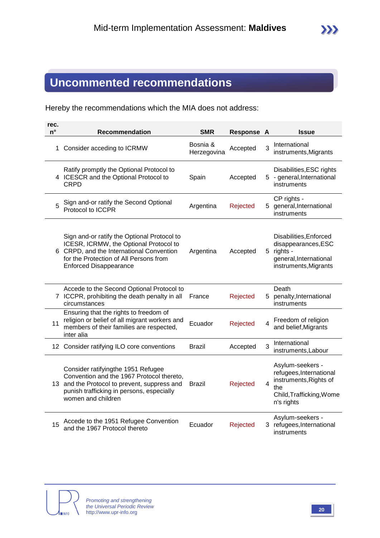## **Uncommented recommendations**

Hereby the recommendations which the MIA does not address:

| rec.<br>$n^{\circ}$ | <b>Recommendation</b>                                                                                                                                                                                        | <b>SMR</b>              | Response A |   | <b>Issue</b>                                                                                                           |
|---------------------|--------------------------------------------------------------------------------------------------------------------------------------------------------------------------------------------------------------|-------------------------|------------|---|------------------------------------------------------------------------------------------------------------------------|
|                     | 1 Consider acceding to ICRMW                                                                                                                                                                                 | Bosnia &<br>Herzegovina | Accepted   | 3 | International<br>instruments, Migrants                                                                                 |
|                     | Ratify promptly the Optional Protocol to<br>4 ICESCR and the Optional Protocol to<br><b>CRPD</b>                                                                                                             | Spain                   | Accepted   |   | Disabilities, ESC rights<br>5 - general, International<br>instruments                                                  |
| 5                   | Sign and-or ratify the Second Optional<br>Protocol to ICCPR                                                                                                                                                  | Argentina               | Rejected   |   | CP rights -<br>5 general, International<br>instruments                                                                 |
|                     | Sign and-or ratify the Optional Protocol to<br>ICESR, ICRMW, the Optional Protocol to<br>6 CRPD, and the International Convention<br>for the Protection of All Persons from<br><b>Enforced Disappearance</b> | Argentina               | Accepted   |   | Disabilities, Enforced<br>disappearances, ESC<br>5 rights -<br>general, International<br>instruments, Migrants         |
|                     | Accede to the Second Optional Protocol to<br>7 ICCPR, prohibiting the death penalty in all<br>circumstances                                                                                                  | France                  | Rejected   |   | Death<br>5 penalty, International<br>instruments                                                                       |
| 11                  | Ensuring that the rights to freedom of<br>religion or belief of all migrant workers and<br>members of their families are respected,<br>inter alia                                                            | Ecuador                 | Rejected   | 4 | Freedom of religion<br>and belief, Migrants                                                                            |
|                     | 12 Consider ratifying ILO core conventions                                                                                                                                                                   | <b>Brazil</b>           | Accepted   | 3 | International<br>instruments, Labour                                                                                   |
|                     | Consider ratifyingthe 1951 Refugee<br>Convention and the 1967 Protocol thereto,<br>13 and the Protocol to prevent, suppress and<br>punish trafficking in persons, especially<br>women and children           | <b>Brazil</b>           | Rejected   | 4 | Asylum-seekers -<br>refugees, International<br>instruments, Rights of<br>the<br>Child, Trafficking, Wome<br>n's rights |
| 15                  | Accede to the 1951 Refugee Convention<br>and the 1967 Protocol thereto                                                                                                                                       | Ecuador                 | Rejected   |   | Asylum-seekers -<br>3 refugees, International<br>instruments                                                           |

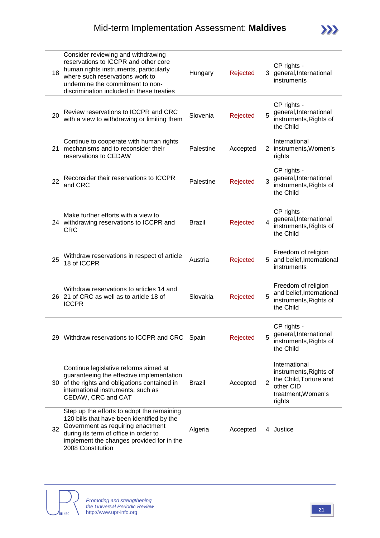| 18 | Consider reviewing and withdrawing<br>reservations to ICCPR and other core<br>human rights instruments, particularly<br>where such reservations work to<br>undermine the commitment to non-<br>discrimination included in these treaties | Hungary       | Rejected |                | CP rights -<br>3 general, International<br>instruments                                                         |
|----|------------------------------------------------------------------------------------------------------------------------------------------------------------------------------------------------------------------------------------------|---------------|----------|----------------|----------------------------------------------------------------------------------------------------------------|
| 20 | Review reservations to ICCPR and CRC<br>with a view to withdrawing or limiting them                                                                                                                                                      | Slovenia      | Rejected | 5              | CP rights -<br>general, International<br>instruments, Rights of<br>the Child                                   |
| 21 | Continue to cooperate with human rights<br>mechanisms and to reconsider their<br>reservations to CEDAW                                                                                                                                   | Palestine     | Accepted |                | International<br>2 instruments, Women's<br>rights                                                              |
| 22 | Reconsider their reservations to ICCPR<br>and CRC                                                                                                                                                                                        | Palestine     | Rejected | 3              | CP rights -<br>general, International<br>instruments, Rights of<br>the Child                                   |
|    | Make further efforts with a view to<br>24 withdrawing reservations to ICCPR and<br><b>CRC</b>                                                                                                                                            | <b>Brazil</b> | Rejected | $\overline{4}$ | CP rights -<br>general, International<br>instruments, Rights of<br>the Child                                   |
| 25 | Withdraw reservations in respect of article<br>18 of ICCPR                                                                                                                                                                               | Austria       | Rejected | 5              | Freedom of religion<br>and belief, International<br>instruments                                                |
|    | Withdraw reservations to articles 14 and<br>26 21 of CRC as well as to article 18 of<br><b>ICCPR</b>                                                                                                                                     | Slovakia      | Rejected | 5              | Freedom of religion<br>and belief, International<br>instruments, Rights of<br>the Child                        |
|    | 29 Withdraw reservations to ICCPR and CRC Spain                                                                                                                                                                                          |               | Rejected | 5              | CP rights -<br>general, International<br>instruments, Rights of<br>the Child                                   |
| 30 | Continue legislative reforms aimed at<br>guaranteeing the effective implementation<br>of the rights and obligations contained in<br>international instruments, such as<br>CEDAW, CRC and CAT                                             | <b>Brazil</b> | Accepted | $\overline{2}$ | International<br>instruments, Rights of<br>the Child, Torture and<br>other CID<br>treatment, Women's<br>rights |
| 32 | Step up the efforts to adopt the remaining<br>120 bills that have been identified by the<br>Government as requiring enactment<br>during its term of office in order to<br>implement the changes provided for in the<br>2008 Constitution | Algeria       | Accepted |                | 4 Justice                                                                                                      |

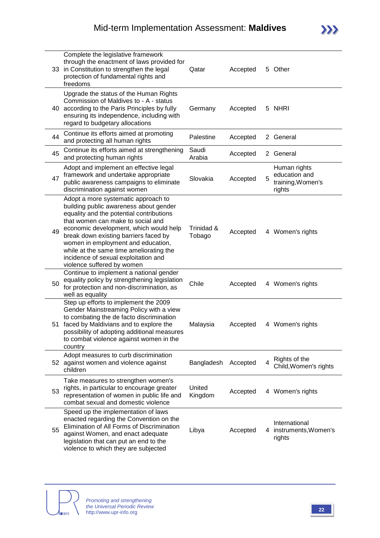|    | Complete the legislative framework<br>through the enactment of laws provided for<br>33 in Constitution to strengthen the legal<br>protection of fundamental rights and<br>freedoms                                                                                                                                                                                                                       | Qatar                | Accepted |   | 5 Other                                                      |
|----|----------------------------------------------------------------------------------------------------------------------------------------------------------------------------------------------------------------------------------------------------------------------------------------------------------------------------------------------------------------------------------------------------------|----------------------|----------|---|--------------------------------------------------------------|
|    | Upgrade the status of the Human Rights<br>Commission of Maldives to - A - status<br>40 according to the Paris Principles by fully<br>ensuring its independence, including with<br>regard to budgetary allocations                                                                                                                                                                                        | Germany              | Accepted |   | 5 NHRI                                                       |
| 44 | Continue its efforts aimed at promoting<br>and protecting all human rights                                                                                                                                                                                                                                                                                                                               | Palestine            | Accepted |   | 2 General                                                    |
| 45 | Continue its efforts aimed at strengthening<br>and protecting human rights                                                                                                                                                                                                                                                                                                                               | Saudi<br>Arabia      | Accepted |   | 2 General                                                    |
| 47 | Adopt and implement an effective legal<br>framework and undertake appropriate<br>public awareness campaigns to eliminate<br>discrimination against women                                                                                                                                                                                                                                                 | Slovakia             | Accepted | 5 | Human rights<br>education and<br>training, Women's<br>rights |
| 49 | Adopt a more systematic approach to<br>building public awareness about gender<br>equality and the potential contributions<br>that women can make to social and<br>economic development, which would help<br>break down existing barriers faced by<br>women in employment and education,<br>while at the same time ameliorating the<br>incidence of sexual exploitation and<br>violence suffered by women | Trinidad &<br>Tobago | Accepted |   | 4 Women's rights                                             |
| 50 | Continue to implement a national gender<br>equality policy by strengthening legislation<br>for protection and non-discrimination, as<br>well as equality                                                                                                                                                                                                                                                 | Chile                | Accepted |   | 4 Women's rights                                             |
|    | Step up efforts to implement the 2009<br>Gender Mainstreaming Policy with a view<br>to combating the de facto discrimination<br>51 faced by Maldivians and to explore the<br>possibility of adopting additional measures<br>to combat violence against women in the<br>country                                                                                                                           | Malaysia             | Accepted |   | 4 Women's rights                                             |
|    | Adopt measures to curb discrimination<br>52 against women and violence against<br>children                                                                                                                                                                                                                                                                                                               | Bangladesh           | Accepted | 4 | Rights of the<br>Child, Women's rights                       |
| 53 | Take measures to strengthen women's<br>rights, in particular to encourage greater<br>representation of women in public life and<br>combat sexual and domestic violence                                                                                                                                                                                                                                   | United<br>Kingdom    | Accepted |   | 4 Women's rights                                             |
| 55 | Speed up the implementation of laws<br>enacted regarding the Convention on the<br>Elimination of All Forms of Discrimination<br>against Women, and enact adequate<br>legislation that can put an end to the<br>violence to which they are subjected                                                                                                                                                      | Libya                | Accepted |   | International<br>4 instruments, Women's<br>rights            |

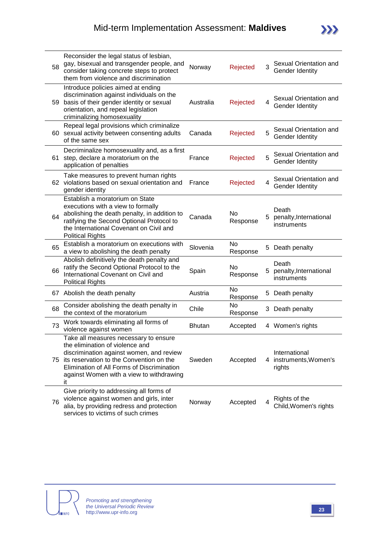| 58  | Reconsider the legal status of lesbian,<br>gay, bisexual and transgender people, and<br>consider taking concrete steps to protect<br>them from violence and discrimination                                                                                          | Norway        | Rejected        | 3  | Sexual Orientation and<br>Gender Identity         |
|-----|---------------------------------------------------------------------------------------------------------------------------------------------------------------------------------------------------------------------------------------------------------------------|---------------|-----------------|----|---------------------------------------------------|
| 59  | Introduce policies aimed at ending<br>discrimination against individuals on the<br>basis of their gender identity or sexual<br>orientation, and repeal legislation<br>criminalizing homosexuality                                                                   | Australia     | Rejected        | 4  | Sexual Orientation and<br>Gender Identity         |
|     | Repeal legal provisions which criminalize<br>60 sexual activity between consenting adults<br>of the same sex                                                                                                                                                        | Canada        | Rejected        | 5  | Sexual Orientation and<br>Gender Identity         |
| 61. | Decriminalize homosexuality and, as a first<br>step, declare a moratorium on the<br>application of penalties                                                                                                                                                        | France        | Rejected        | 5  | Sexual Orientation and<br>Gender Identity         |
|     | Take measures to prevent human rights<br>62 violations based on sexual orientation and<br>gender identity                                                                                                                                                           | France        | Rejected        | 4  | Sexual Orientation and<br>Gender Identity         |
| 64  | Establish a moratorium on State<br>executions with a view to formally<br>abolishing the death penalty, in addition to<br>ratifying the Second Optional Protocol to<br>the International Covenant on Civil and<br><b>Political Rights</b>                            | Canada        | No<br>Response  | 5  | Death<br>penalty, International<br>instruments    |
| 65  | Establish a moratorium on executions with<br>a view to abolishing the death penalty                                                                                                                                                                                 | Slovenia      | No<br>Response  |    | 5 Death penalty                                   |
| 66  | Abolish definitively the death penalty and<br>ratify the Second Optional Protocol to the<br>International Covenant on Civil and<br><b>Political Rights</b>                                                                                                          | Spain         | No<br>Response  | 5. | Death<br>penalty, International<br>instruments    |
| 67  | Abolish the death penalty                                                                                                                                                                                                                                           | Austria       | No.<br>Response | 5  | Death penalty                                     |
| 68  | Consider abolishing the death penalty in<br>the context of the moratorium                                                                                                                                                                                           | Chile         | No<br>Response  |    | 3 Death penalty                                   |
| 73  | Work towards eliminating all forms of<br>violence against women                                                                                                                                                                                                     | <b>Bhutan</b> | Accepted        |    | 4 Women's rights                                  |
|     | Take all measures necessary to ensure<br>the elimination of violence and<br>discrimination against women, and review<br>75 its reservation to the Convention on the<br>Elimination of All Forms of Discrimination<br>against Women with a view to withdrawing<br>it | Sweden        | Accepted        |    | International<br>4 instruments, Women's<br>rights |
| 76  | Give priority to addressing all forms of<br>violence against women and girls, inter<br>alia, by providing redress and protection<br>services to victims of such crimes                                                                                              | Norway        | Accepted        | 4  | Rights of the<br>Child, Women's rights            |

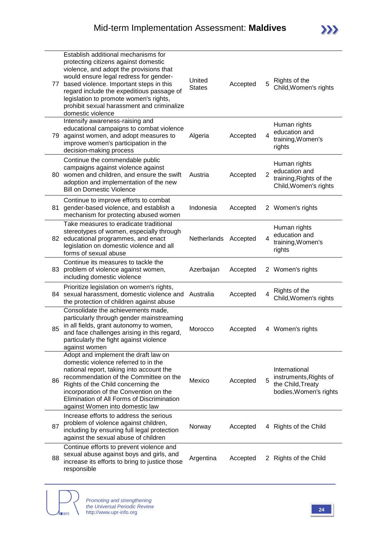| 77 | Establish additional mechanisms for<br>protecting citizens against domestic<br>violence, and adopt the provisions that<br>would ensure legal redress for gender-<br>based violence. Important steps in this<br>regard include the expeditious passage of<br>legislation to promote women's rights,<br>prohibit sexual harassment and criminalize<br>domestic violence | United<br><b>States</b> | Accepted | 5              | Rights of the<br>Child, Women's rights                                                 |
|----|-----------------------------------------------------------------------------------------------------------------------------------------------------------------------------------------------------------------------------------------------------------------------------------------------------------------------------------------------------------------------|-------------------------|----------|----------------|----------------------------------------------------------------------------------------|
| 79 | Intensify awareness-raising and<br>educational campaigns to combat violence<br>against women, and adopt measures to<br>improve women's participation in the<br>decision-making process                                                                                                                                                                                | Algeria                 | Accepted | $\overline{4}$ | Human rights<br>education and<br>training, Women's<br>rights                           |
|    | Continue the commendable public<br>campaigns against violence against<br>80 women and children, and ensure the swift<br>adoption and implementation of the new<br><b>Bill on Domestic Violence</b>                                                                                                                                                                    | Austria                 | Accepted | $\overline{2}$ | Human rights<br>education and<br>training, Rights of the<br>Child, Women's rights      |
| 81 | Continue to improve efforts to combat<br>gender-based violence, and establish a<br>mechanism for protecting abused women                                                                                                                                                                                                                                              | Indonesia               | Accepted |                | 2 Women's rights                                                                       |
| 82 | Take measures to eradicate traditional<br>stereotypes of women, especially through<br>educational programmes, and enact<br>legislation on domestic violence and all<br>forms of sexual abuse                                                                                                                                                                          | Netherlands             | Accepted | 4              | Human rights<br>education and<br>training, Women's<br>rights                           |
| 83 | Continue its measures to tackle the<br>problem of violence against women,<br>including domestic violence                                                                                                                                                                                                                                                              | Azerbaijan              | Accepted |                | 2 Women's rights                                                                       |
|    | Prioritize legislation on women's rights,<br>84 sexual harassment, domestic violence and<br>the protection of children against abuse                                                                                                                                                                                                                                  | Australia               | Accepted | 4              | Rights of the<br>Child, Women's rights                                                 |
| 85 | Consolidate the achievements made,<br>particularly through gender mainstreaming<br>in all fields, grant autonomy to women,<br>and face challenges arising in this regard,<br>particularly the fight against violence<br>against women                                                                                                                                 | Morocco                 | Accepted |                | 4 Women's rights                                                                       |
| 86 | Adopt and implement the draft law on<br>domestic violence referred to in the<br>national report, taking into account the<br>recommendation of the Committee on the<br>Rights of the Child concerning the<br>incorporation of the Convention on the<br>Elimination of All Forms of Discrimination<br>against Women into domestic law                                   | Mexico                  | Accepted | 5              | International<br>instruments, Rights of<br>the Child, Treaty<br>bodies, Women's rights |
| 87 | Increase efforts to address the serious<br>problem of violence against children,<br>including by ensuring full legal protection<br>against the sexual abuse of children                                                                                                                                                                                               | Norway                  | Accepted |                | 4 Rights of the Child                                                                  |
| 88 | Continue efforts to prevent violence and<br>sexual abuse against boys and girls, and<br>increase its efforts to bring to justice those<br>responsible                                                                                                                                                                                                                 | Argentina               | Accepted |                | 2 Rights of the Child                                                                  |

**NRO**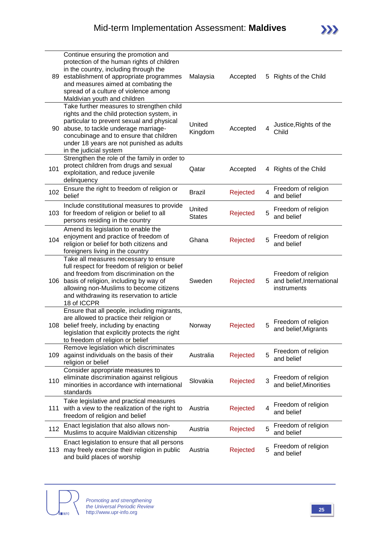| 89  | Continue ensuring the promotion and<br>protection of the human rights of children<br>in the country, including through the<br>establishment of appropriate programmes<br>and measures aimed at combating the<br>spread of a culture of violence among<br>Maldivian youth and children         | Malaysia                | Accepted |   | 5 Rights of the Child                                             |
|-----|-----------------------------------------------------------------------------------------------------------------------------------------------------------------------------------------------------------------------------------------------------------------------------------------------|-------------------------|----------|---|-------------------------------------------------------------------|
| 90  | Take further measures to strengthen child<br>rights and the child protection system, in<br>particular to prevent sexual and physical<br>abuse, to tackle underage marriage-<br>concubinage and to ensure that children<br>under 18 years are not punished as adults<br>in the judicial system | United<br>Kingdom       | Accepted | 4 | Justice, Rights of the<br>Child                                   |
| 101 | Strengthen the role of the family in order to<br>protect children from drugs and sexual<br>exploitation, and reduce juvenile<br>delinquency                                                                                                                                                   | Qatar                   | Accepted |   | 4 Rights of the Child                                             |
| 102 | Ensure the right to freedom of religion or<br>belief                                                                                                                                                                                                                                          | <b>Brazil</b>           | Rejected | 4 | Freedom of religion<br>and belief                                 |
| 103 | Include constitutional measures to provide<br>for freedom of religion or belief to all<br>persons residing in the country                                                                                                                                                                     | United<br><b>States</b> | Rejected | 5 | Freedom of religion<br>and belief                                 |
| 104 | Amend its legislation to enable the<br>enjoyment and practice of freedom of<br>religion or belief for both citizens and<br>foreigners living in the country                                                                                                                                   | Ghana                   | Rejected | 5 | Freedom of religion<br>and belief                                 |
| 106 | Take all measures necessary to ensure<br>full respect for freedom of religion or belief<br>and freedom from discrimination on the<br>basis of religion, including by way of<br>allowing non-Muslims to become citizens<br>and withdrawing its reservation to article<br>18 of ICCPR           | Sweden                  | Rejected |   | Freedom of religion<br>5 and belief, International<br>instruments |
| 108 | Ensure that all people, including migrants,<br>are allowed to practice their religion or<br>belief freely, including by enacting<br>legislation that explicitly protects the right<br>to freedom of religion or belief                                                                        | Norway                  | Rejected | 5 | Freedom of religion<br>and belief, Migrants                       |
| 109 | Remove legislation which discriminates<br>against individuals on the basis of their<br>religion or belief                                                                                                                                                                                     | Australia               | Rejected | 5 | Freedom of religion<br>and belief                                 |
| 110 | Consider appropriate measures to<br>eliminate discrimination against religious<br>minorities in accordance with international<br>standards                                                                                                                                                    | Slovakia                | Rejected | 3 | Freedom of religion<br>and belief, Minorities                     |
| 111 | Take legislative and practical measures<br>with a view to the realization of the right to<br>freedom of religion and belief                                                                                                                                                                   | Austria                 | Rejected | 4 | Freedom of religion<br>and belief                                 |
| 112 | Enact legislation that also allows non-<br>Muslims to acquire Maldivian citizenship                                                                                                                                                                                                           | Austria                 | Rejected | 5 | Freedom of religion<br>and belief                                 |
| 113 | Enact legislation to ensure that all persons<br>may freely exercise their religion in public<br>and build places of worship                                                                                                                                                                   | Austria                 | Rejected | 5 | Freedom of religion<br>and belief                                 |

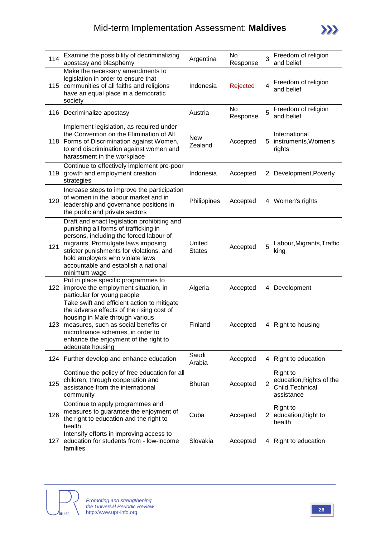### Mid-term Implementation Assessment: **Maldives**



| 114 | Examine the possibility of decriminalizing<br>apostasy and blasphemy                                                                                                                                                                                                                                         | Argentina               | No<br>Response | 3              | Freedom of religion<br>and belief                                      |
|-----|--------------------------------------------------------------------------------------------------------------------------------------------------------------------------------------------------------------------------------------------------------------------------------------------------------------|-------------------------|----------------|----------------|------------------------------------------------------------------------|
|     | Make the necessary amendments to<br>legislation in order to ensure that<br>115 communities of all faiths and religions<br>have an equal place in a democratic<br>society                                                                                                                                     | Indonesia               | Rejected       | 4              | Freedom of religion<br>and belief                                      |
|     | 116 Decriminalize apostasy                                                                                                                                                                                                                                                                                   | Austria                 | No<br>Response | 5              | Freedom of religion<br>and belief                                      |
|     | Implement legislation, as required under<br>the Convention on the Elimination of All<br>118 Forms of Discrimination against Women,<br>to end discrimination against women and<br>harassment in the workplace                                                                                                 | <b>New</b><br>Zealand   | Accepted       |                | International<br>5 instruments, Women's<br>rights                      |
| 119 | Continue to effectively implement pro-poor<br>growth and employment creation<br>strategies                                                                                                                                                                                                                   | Indonesia               | Accepted       | $^{2}$         | Development, Poverty                                                   |
| 120 | Increase steps to improve the participation<br>of women in the labour market and in<br>leadership and governance positions in<br>the public and private sectors                                                                                                                                              | Philippines             | Accepted       |                | 4 Women's rights                                                       |
| 121 | Draft and enact legislation prohibiting and<br>punishing all forms of trafficking in<br>persons, including the forced labour of<br>migrants. Promulgate laws imposing<br>stricter punishments for violations, and<br>hold employers who violate laws<br>accountable and establish a national<br>minimum wage | United<br><b>States</b> | Accepted       | 5              | Labour, Migrants, Traffic<br>king                                      |
| 122 | Put in place specific programmes to<br>improve the employment situation, in<br>particular for young people                                                                                                                                                                                                   | Algeria                 | Accepted       |                | 4 Development                                                          |
| 123 | Take swift and efficient action to mitigate<br>the adverse effects of the rising cost of<br>housing in Male through various<br>measures, such as social benefits or<br>microfinance schemes, in order to<br>enhance the enjoyment of the right to<br>adequate housing                                        | Finland                 | Accepted       |                | 4 Right to housing                                                     |
|     | 124 Further develop and enhance education                                                                                                                                                                                                                                                                    | Saudi<br>Arabia         | Accepted       |                | 4 Right to education                                                   |
| 125 | Continue the policy of free education for all<br>children, through cooperation and<br>assistance from the international<br>community                                                                                                                                                                         | <b>Bhutan</b>           | Accepted       | $\overline{2}$ | Right to<br>education, Rights of the<br>Child, Technical<br>assistance |
| 126 | Continue to apply programmes and<br>measures to guarantee the enjoyment of<br>the right to education and the right to<br>health                                                                                                                                                                              | Cuba                    | Accepted       |                | <b>Right to</b><br>2 education, Right to<br>health                     |
| 127 | Intensify efforts in improving access to<br>education for students from - low-income<br>families                                                                                                                                                                                                             | Slovakia                | Accepted       |                | 4 Right to education                                                   |

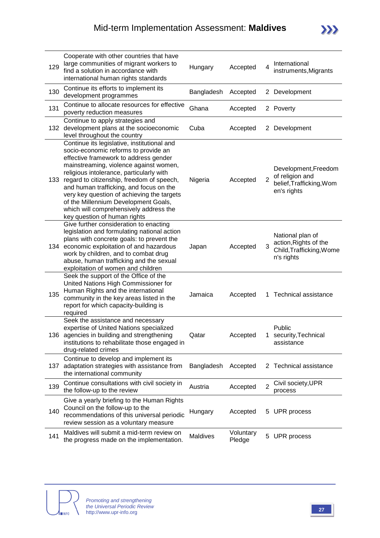| 129 | Cooperate with other countries that have<br>large communities of migrant workers to<br>find a solution in accordance with<br>international human rights standards                                                                                                                                                                                                                                                                                                              | Hungary    | Accepted            | 4              | International<br>instruments, Migrants                                              |
|-----|--------------------------------------------------------------------------------------------------------------------------------------------------------------------------------------------------------------------------------------------------------------------------------------------------------------------------------------------------------------------------------------------------------------------------------------------------------------------------------|------------|---------------------|----------------|-------------------------------------------------------------------------------------|
| 130 | Continue its efforts to implement its<br>development programmes                                                                                                                                                                                                                                                                                                                                                                                                                | Bangladesh | Accepted            |                | 2 Development                                                                       |
| 131 | Continue to allocate resources for effective<br>poverty reduction measures                                                                                                                                                                                                                                                                                                                                                                                                     | Ghana      | Accepted            |                | 2 Poverty                                                                           |
| 132 | Continue to apply strategies and<br>development plans at the socioeconomic<br>level throughout the country                                                                                                                                                                                                                                                                                                                                                                     | Cuba       | Accepted            |                | 2 Development                                                                       |
|     | Continue its legislative, institutional and<br>socio-economic reforms to provide an<br>effective framework to address gender<br>mainstreaming, violence against women,<br>religious intolerance, particularly with<br>133 regard to citizenship, freedom of speech,<br>and human trafficking, and focus on the<br>very key question of achieving the targets<br>of the Millennium Development Goals,<br>which will comprehensively address the<br>key question of human rights | Nigeria    | Accepted            | $\overline{2}$ | Development, Freedom<br>of religion and<br>belief, Trafficking, Wom<br>en's rights  |
| 134 | Give further consideration to enacting<br>legislation and formulating national action<br>plans with concrete goals: to prevent the<br>economic exploitation of and hazardous<br>work by children, and to combat drug<br>abuse, human trafficking and the sexual<br>exploitation of women and children                                                                                                                                                                          | Japan      | Accepted            | 3              | National plan of<br>action, Rights of the<br>Child, Trafficking, Wome<br>n's rights |
| 135 | Seek the support of the Office of the<br>United Nations High Commissioner for<br>Human Rights and the international<br>community in the key areas listed in the<br>report for which capacity-building is<br>required                                                                                                                                                                                                                                                           | Jamaica    | Accepted            |                | 1 Technical assistance                                                              |
| 136 | Seek the assistance and necessary<br>expertise of United Nations specialized<br>agencies in building and strengthening<br>institutions to rehabilitate those engaged in<br>drug-related crimes                                                                                                                                                                                                                                                                                 | Qatar      | Accepted            |                | Public<br>security, Technical<br>assistance                                         |
| 137 | Continue to develop and implement its<br>adaptation strategies with assistance from<br>the international community                                                                                                                                                                                                                                                                                                                                                             | Bangladesh | Accepted            |                | 2 Technical assistance                                                              |
| 139 | Continue consultations with civil society in<br>the follow-up to the review                                                                                                                                                                                                                                                                                                                                                                                                    | Austria    | Accepted            | $\overline{2}$ | Civil society, UPR<br>process                                                       |
| 140 | Give a yearly briefing to the Human Rights<br>Council on the follow-up to the<br>recommendations of this universal periodic<br>review session as a voluntary measure                                                                                                                                                                                                                                                                                                           | Hungary    | Accepted            |                | 5 UPR process                                                                       |
| 141 | Maldives will submit a mid-term review on<br>the progress made on the implementation.                                                                                                                                                                                                                                                                                                                                                                                          | Maldives   | Voluntary<br>Pledge |                | 5 UPR process                                                                       |



 $\sum$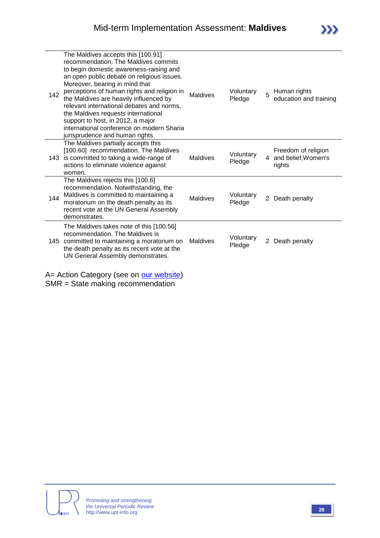| 142 | The Maldives accepts this [100.91]<br>recommendation. The Maldives commits<br>to begin domestic awareness-raising and<br>an open public debate on religious issues.<br>Moreover, bearing in mind that<br>perceptions of human rights and religion in<br>the Maldives are heavily influenced by<br>relevant international debates and norms,<br>the Maldives requests international<br>support to host, in 2012, a major<br>international conference on modern Sharia<br>jurisprudence and human rights. | <b>Maldives</b> | Voluntary<br>Pledge | 5              | Human rights<br>education and training               |
|-----|---------------------------------------------------------------------------------------------------------------------------------------------------------------------------------------------------------------------------------------------------------------------------------------------------------------------------------------------------------------------------------------------------------------------------------------------------------------------------------------------------------|-----------------|---------------------|----------------|------------------------------------------------------|
| 143 | The Maldives partially accepts this<br>[100.60] recommendation. The Maldives<br>is committed to taking a wide-range of<br>actions to eliminate violence against<br>women.                                                                                                                                                                                                                                                                                                                               | Maldives        | Voluntary<br>Pledge | 4              | Freedom of religion<br>and belief, Women's<br>rights |
| 144 | The Maldives rejects this [100.6]<br>recommendation. Notwithstanding, the<br>Maldives is committed to maintaining a<br>moratorium on the death penalty as its<br>recent vote at the UN General Assembly<br>demonstrates.                                                                                                                                                                                                                                                                                | Maldives        | Voluntary<br>Pledge | 2              | Death penalty                                        |
| 145 | The Maldives takes note of this [100.56]<br>recommendation. The Maldives is<br>committed to maintaining a moratorium on<br>the death penalty as its recent vote at the<br>UN General Assembly demonstrates.                                                                                                                                                                                                                                                                                             | <b>Maldives</b> | Voluntary<br>Pledge | $\overline{2}$ | Death penalty                                        |

A= Action Category (see on **our website)** SMR = State making recommendation



 $\sum$